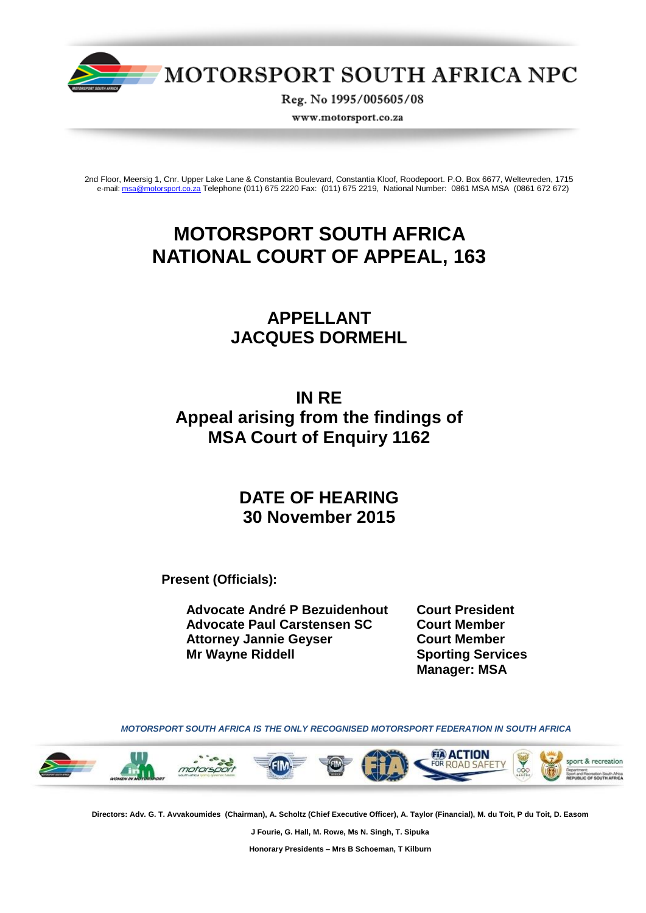

MOTORSPORT SOUTH AFRICA NPC

Reg. No 1995/005605/08

www.motorsport.co.za

2nd Floor, Meersig 1, Cnr. Upper Lake Lane & Constantia Boulevard, Constantia Kloof, Roodepoort. P.O. Box 6677, Weltevreden, 1715 e-mail[: msa@motorsport.co.za](mailto:msa@motorsport.co.za) Telephone (011) 675 2220 Fax: (011) 675 2219, National Number: 0861 MSA MSA (0861 672 672)

# **MOTORSPORT SOUTH AFRICA NATIONAL COURT OF APPEAL, 163**

## **APPELLANT JACQUES DORMEHL**

## **IN RE Appeal arising from the findings of MSA Court of Enquiry 1162**

## **DATE OF HEARING 30 November 2015**

**Present (Officials):**

**Advocate André P Bezuidenhout Court President Advocate Paul Carstensen SC Court Member Attorney Jannie Geyser Court Member Mr Wayne Riddell Sporting Services**

**Manager: MSA**

 *MOTORSPORT SOUTH AFRICA IS THE ONLY RECOGNISED MOTORSPORT FEDERATION IN SOUTH AFRICA*



**Directors: Adv. G. T. Avvakoumides (Chairman), A. Scholtz (Chief Executive Officer), A. Taylor (Financial), M. du Toit, P du Toit, D. Easom** 

**J Fourie, G. Hall, M. Rowe, Ms N. Singh, T. Sipuka**

**Honorary Presidents – Mrs B Schoeman, T Kilburn**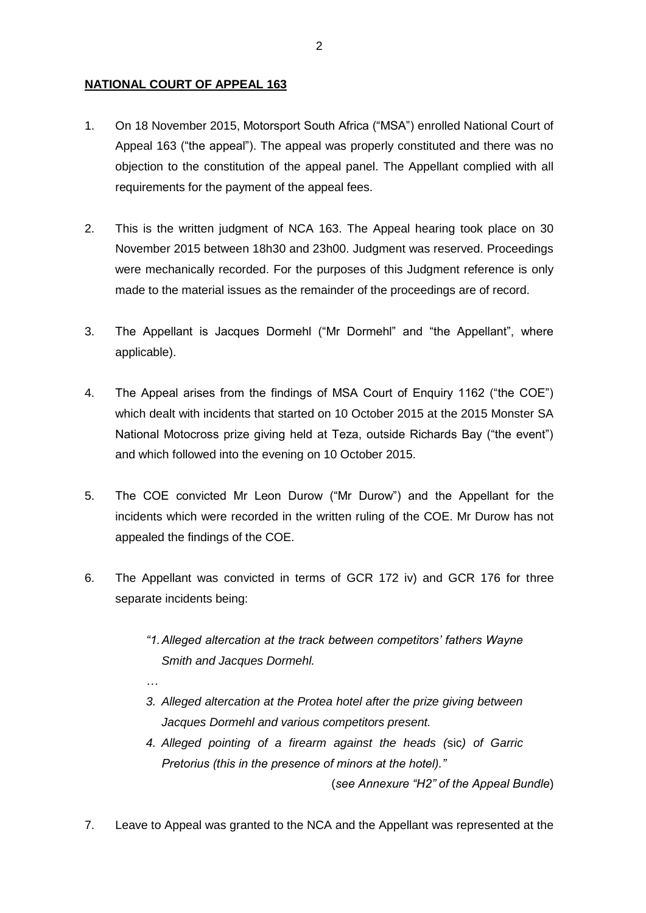## **NATIONAL COURT OF APPEAL 163**

*…*

- 1. On 18 November 2015, Motorsport South Africa ("MSA") enrolled National Court of Appeal 163 ("the appeal"). The appeal was properly constituted and there was no objection to the constitution of the appeal panel. The Appellant complied with all requirements for the payment of the appeal fees.
- 2. This is the written judgment of NCA 163. The Appeal hearing took place on 30 November 2015 between 18h30 and 23h00. Judgment was reserved. Proceedings were mechanically recorded. For the purposes of this Judgment reference is only made to the material issues as the remainder of the proceedings are of record.
- 3. The Appellant is Jacques Dormehl ("Mr Dormehl" and "the Appellant", where applicable).
- 4. The Appeal arises from the findings of MSA Court of Enquiry 1162 ("the COE") which dealt with incidents that started on 10 October 2015 at the 2015 Monster SA National Motocross prize giving held at Teza, outside Richards Bay ("the event") and which followed into the evening on 10 October 2015.
- 5. The COE convicted Mr Leon Durow ("Mr Durow") and the Appellant for the incidents which were recorded in the written ruling of the COE. Mr Durow has not appealed the findings of the COE.
- 6. The Appellant was convicted in terms of GCR 172 iv) and GCR 176 for three separate incidents being:
	- *"1.Alleged altercation at the track between competitors' fathers Wayne Smith and Jacques Dormehl.*
	- *3. Alleged altercation at the Protea hotel after the prize giving between Jacques Dormehl and various competitors present.*
	- *4. Alleged pointing of a firearm against the heads (*sic*) of Garric Pretorius (this in the presence of minors at the hotel)."*

(*see Annexure "H2" of the Appeal Bundle*)

7. Leave to Appeal was granted to the NCA and the Appellant was represented at the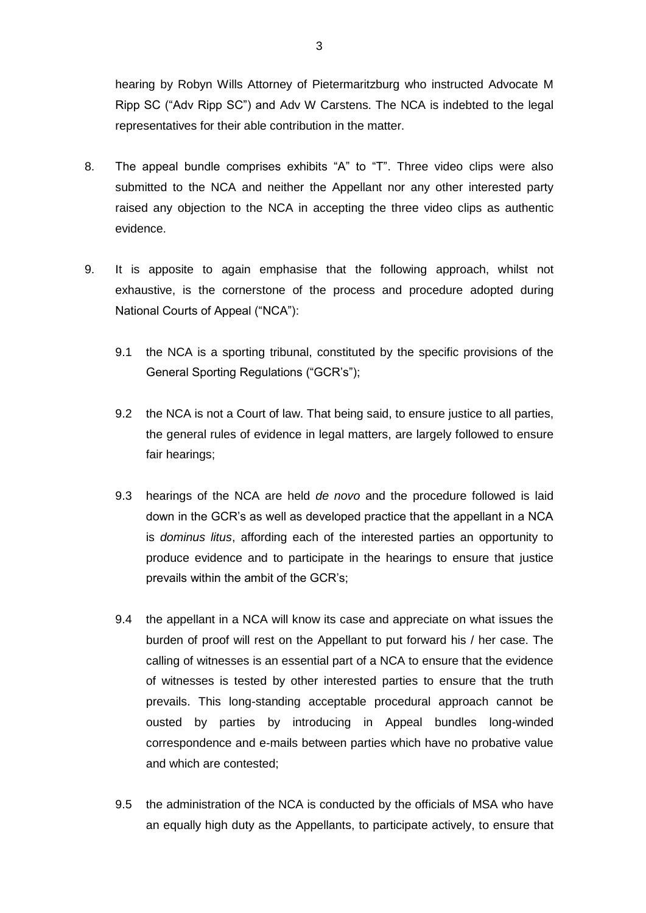hearing by Robyn Wills Attorney of Pietermaritzburg who instructed Advocate M Ripp SC ("Adv Ripp SC") and Adv W Carstens. The NCA is indebted to the legal representatives for their able contribution in the matter.

- 8. The appeal bundle comprises exhibits "A" to "T". Three video clips were also submitted to the NCA and neither the Appellant nor any other interested party raised any objection to the NCA in accepting the three video clips as authentic evidence.
- 9. It is apposite to again emphasise that the following approach, whilst not exhaustive, is the cornerstone of the process and procedure adopted during National Courts of Appeal ("NCA"):
	- 9.1 the NCA is a sporting tribunal, constituted by the specific provisions of the General Sporting Regulations ("GCR's");
	- 9.2 the NCA is not a Court of law. That being said, to ensure justice to all parties, the general rules of evidence in legal matters, are largely followed to ensure fair hearings;
	- 9.3 hearings of the NCA are held *de novo* and the procedure followed is laid down in the GCR's as well as developed practice that the appellant in a NCA is *dominus litus*, affording each of the interested parties an opportunity to produce evidence and to participate in the hearings to ensure that justice prevails within the ambit of the GCR's;
	- 9.4 the appellant in a NCA will know its case and appreciate on what issues the burden of proof will rest on the Appellant to put forward his / her case. The calling of witnesses is an essential part of a NCA to ensure that the evidence of witnesses is tested by other interested parties to ensure that the truth prevails. This long-standing acceptable procedural approach cannot be ousted by parties by introducing in Appeal bundles long-winded correspondence and e-mails between parties which have no probative value and which are contested;
	- 9.5 the administration of the NCA is conducted by the officials of MSA who have an equally high duty as the Appellants, to participate actively, to ensure that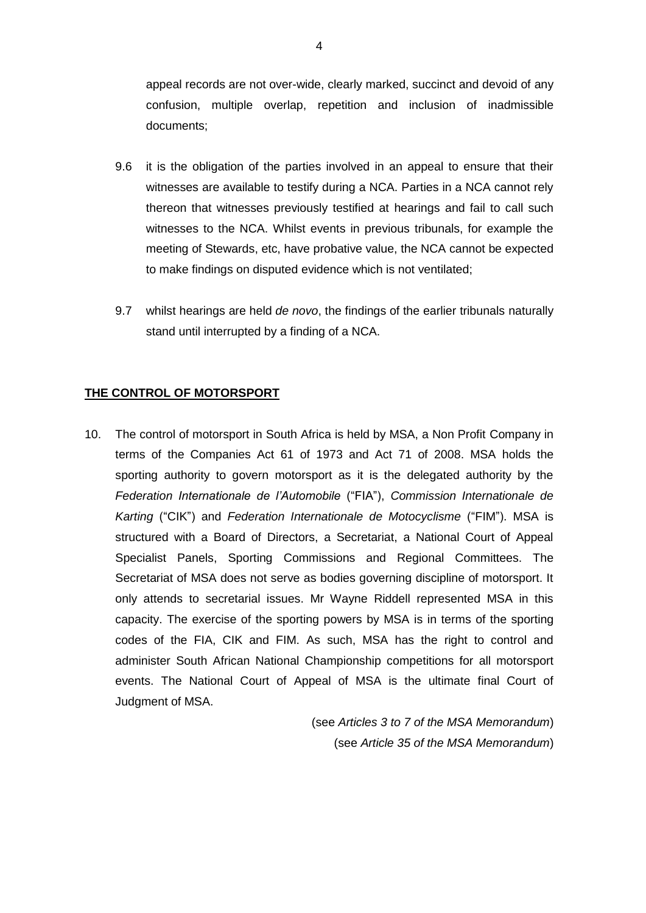appeal records are not over-wide, clearly marked, succinct and devoid of any confusion, multiple overlap, repetition and inclusion of inadmissible documents;

- 9.6 it is the obligation of the parties involved in an appeal to ensure that their witnesses are available to testify during a NCA. Parties in a NCA cannot rely thereon that witnesses previously testified at hearings and fail to call such witnesses to the NCA. Whilst events in previous tribunals, for example the meeting of Stewards, etc, have probative value, the NCA cannot be expected to make findings on disputed evidence which is not ventilated;
- 9.7 whilst hearings are held *de novo*, the findings of the earlier tribunals naturally stand until interrupted by a finding of a NCA.

## **THE CONTROL OF MOTORSPORT**

10. The control of motorsport in South Africa is held by MSA, a Non Profit Company in terms of the Companies Act 61 of 1973 and Act 71 of 2008. MSA holds the sporting authority to govern motorsport as it is the delegated authority by the *Federation Internationale de l'Automobile* ("FIA"), *Commission Internationale de Karting* ("CIK") and *Federation Internationale de Motocyclisme* ("FIM"). MSA is structured with a Board of Directors, a Secretariat, a National Court of Appeal Specialist Panels, Sporting Commissions and Regional Committees. The Secretariat of MSA does not serve as bodies governing discipline of motorsport. It only attends to secretarial issues. Mr Wayne Riddell represented MSA in this capacity. The exercise of the sporting powers by MSA is in terms of the sporting codes of the FIA, CIK and FIM. As such, MSA has the right to control and administer South African National Championship competitions for all motorsport events. The National Court of Appeal of MSA is the ultimate final Court of Judgment of MSA.

> (see *Articles 3 to 7 of the MSA Memorandum*) (see *Article 35 of the MSA Memorandum*)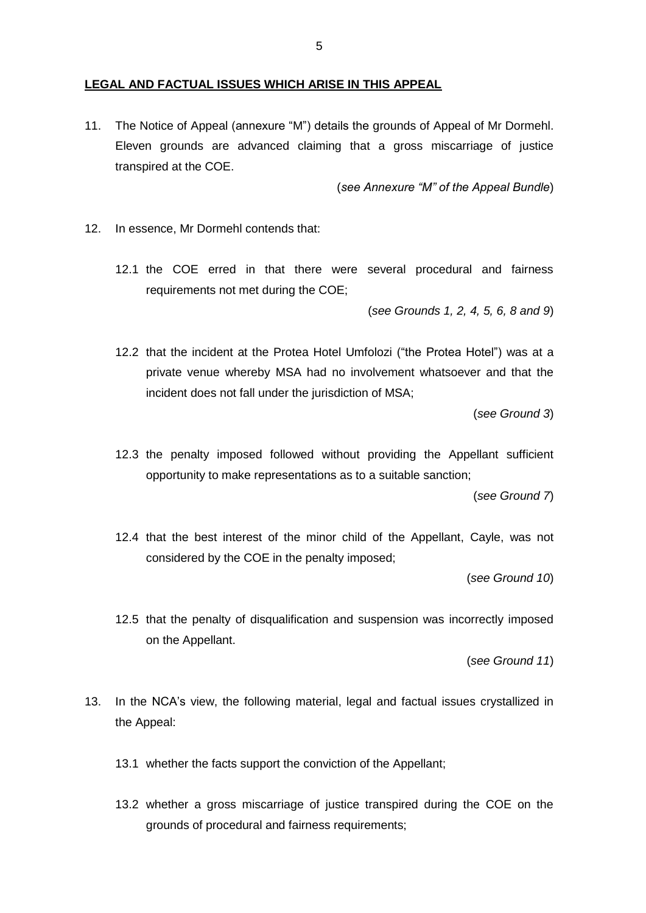#### **LEGAL AND FACTUAL ISSUES WHICH ARISE IN THIS APPEAL**

11. The Notice of Appeal (annexure "M") details the grounds of Appeal of Mr Dormehl. Eleven grounds are advanced claiming that a gross miscarriage of justice transpired at the COE.

(*see Annexure "M" of the Appeal Bundle*)

- 12. In essence, Mr Dormehl contends that:
	- 12.1 the COE erred in that there were several procedural and fairness requirements not met during the COE;

(*see Grounds 1, 2, 4, 5, 6, 8 and 9*)

12.2 that the incident at the Protea Hotel Umfolozi ("the Protea Hotel") was at a private venue whereby MSA had no involvement whatsoever and that the incident does not fall under the jurisdiction of MSA;

(*see Ground 3*)

12.3 the penalty imposed followed without providing the Appellant sufficient opportunity to make representations as to a suitable sanction;

(*see Ground 7*)

12.4 that the best interest of the minor child of the Appellant, Cayle, was not considered by the COE in the penalty imposed;

(*see Ground 10*)

12.5 that the penalty of disqualification and suspension was incorrectly imposed on the Appellant.

(*see Ground 11*)

- 13. In the NCA's view, the following material, legal and factual issues crystallized in the Appeal:
	- 13.1 whether the facts support the conviction of the Appellant;
	- 13.2 whether a gross miscarriage of justice transpired during the COE on the grounds of procedural and fairness requirements;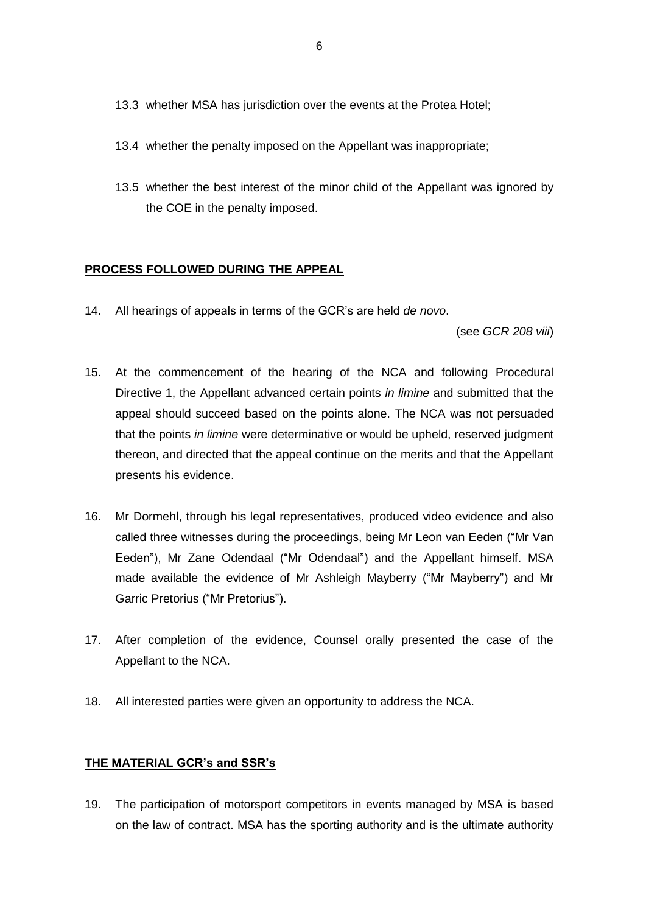- 13.3 whether MSA has jurisdiction over the events at the Protea Hotel;
- 13.4 whether the penalty imposed on the Appellant was inappropriate;
- 13.5 whether the best interest of the minor child of the Appellant was ignored by the COE in the penalty imposed.

## **PROCESS FOLLOWED DURING THE APPEAL**

14. All hearings of appeals in terms of the GCR's are held *de novo*.

(see *GCR 208 viii*)

- 15. At the commencement of the hearing of the NCA and following Procedural Directive 1, the Appellant advanced certain points *in limine* and submitted that the appeal should succeed based on the points alone. The NCA was not persuaded that the points *in limine* were determinative or would be upheld, reserved judgment thereon, and directed that the appeal continue on the merits and that the Appellant presents his evidence.
- 16. Mr Dormehl, through his legal representatives, produced video evidence and also called three witnesses during the proceedings, being Mr Leon van Eeden ("Mr Van Eeden"), Mr Zane Odendaal ("Mr Odendaal") and the Appellant himself. MSA made available the evidence of Mr Ashleigh Mayberry ("Mr Mayberry") and Mr Garric Pretorius ("Mr Pretorius").
- 17. After completion of the evidence, Counsel orally presented the case of the Appellant to the NCA.
- 18. All interested parties were given an opportunity to address the NCA.

## **THE MATERIAL GCR's and SSR's**

19. The participation of motorsport competitors in events managed by MSA is based on the law of contract. MSA has the sporting authority and is the ultimate authority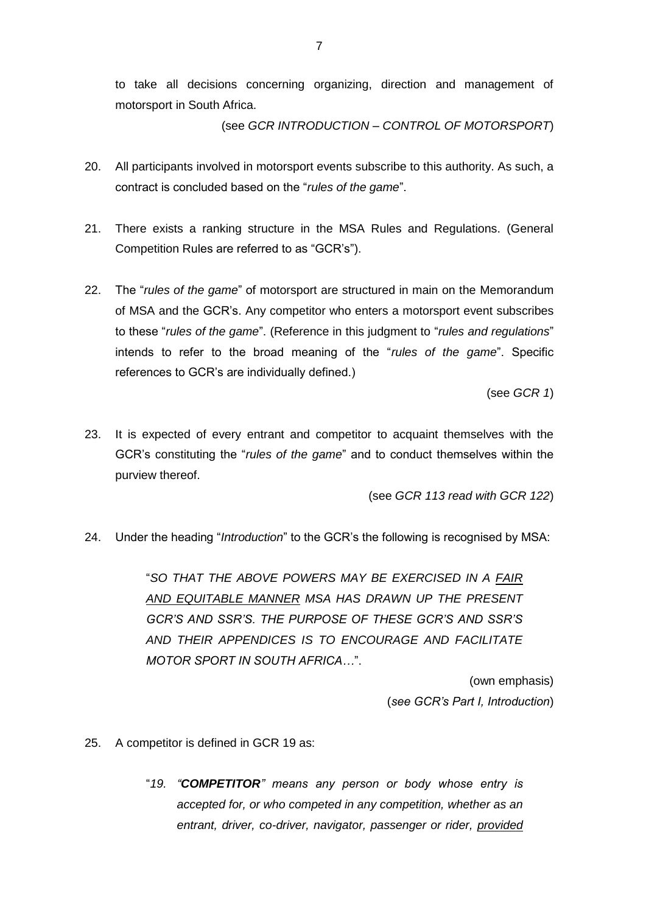to take all decisions concerning organizing, direction and management of motorsport in South Africa.

(see *GCR INTRODUCTION – CONTROL OF MOTORSPORT*)

- 20. All participants involved in motorsport events subscribe to this authority. As such, a contract is concluded based on the "*rules of the game*".
- 21. There exists a ranking structure in the MSA Rules and Regulations. (General Competition Rules are referred to as "GCR's").
- 22. The "*rules of the game*" of motorsport are structured in main on the Memorandum of MSA and the GCR's. Any competitor who enters a motorsport event subscribes to these "*rules of the game*". (Reference in this judgment to "*rules and regulations*" intends to refer to the broad meaning of the "*rules of the game*". Specific references to GCR's are individually defined.)

(see *GCR 1*)

23. It is expected of every entrant and competitor to acquaint themselves with the GCR's constituting the "*rules of the game*" and to conduct themselves within the purview thereof.

(see *GCR 113 read with GCR 122*)

24. Under the heading "*Introduction*" to the GCR's the following is recognised by MSA:

"*SO THAT THE ABOVE POWERS MAY BE EXERCISED IN A FAIR AND EQUITABLE MANNER MSA HAS DRAWN UP THE PRESENT GCR'S AND SSR'S. THE PURPOSE OF THESE GCR'S AND SSR'S AND THEIR APPENDICES IS TO ENCOURAGE AND FACILITATE MOTOR SPORT IN SOUTH AFRICA…*".

> (own emphasis) (*see GCR's Part I, Introduction*)

- 25. A competitor is defined in GCR 19 as:
	- "*19. "COMPETITOR" means any person or body whose entry is accepted for, or who competed in any competition, whether as an entrant, driver, co-driver, navigator, passenger or rider, provided*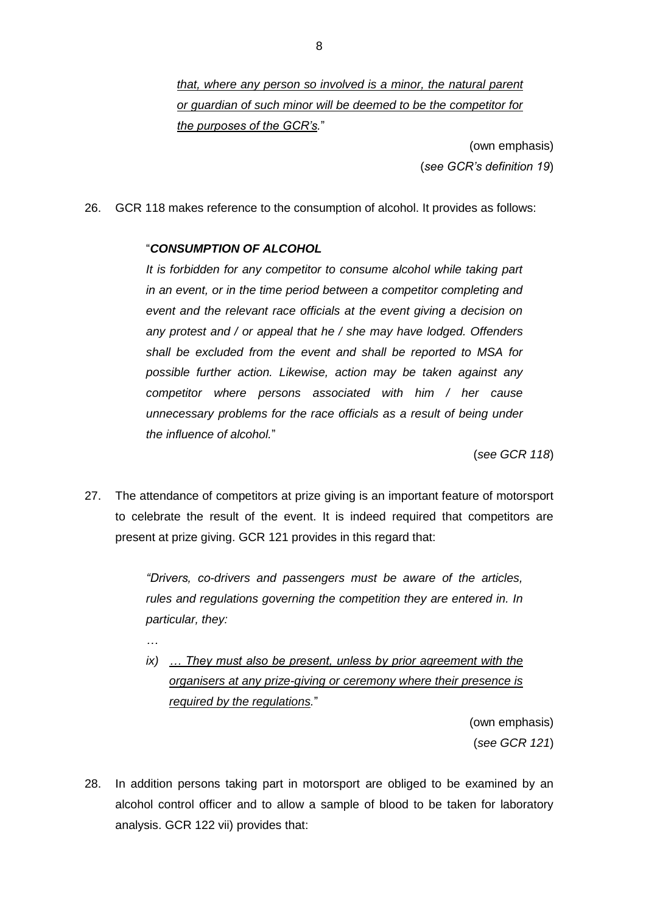8

*that, where any person so involved is a minor, the natural parent or guardian of such minor will be deemed to be the competitor for the purposes of the GCR's.*"

> (own emphasis) (*see GCR's definition 19*)

26. GCR 118 makes reference to the consumption of alcohol. It provides as follows:

## "*CONSUMPTION OF ALCOHOL*

*…*

*It is forbidden for any competitor to consume alcohol while taking part in an event, or in the time period between a competitor completing and event and the relevant race officials at the event giving a decision on any protest and / or appeal that he / she may have lodged. Offenders shall be excluded from the event and shall be reported to MSA for possible further action. Likewise, action may be taken against any competitor where persons associated with him / her cause unnecessary problems for the race officials as a result of being under the influence of alcohol.*"

(*see GCR 118*)

27. The attendance of competitors at prize giving is an important feature of motorsport to celebrate the result of the event. It is indeed required that competitors are present at prize giving. GCR 121 provides in this regard that:

> *"Drivers, co-drivers and passengers must be aware of the articles, rules and regulations governing the competition they are entered in. In particular, they:*

> *ix) … They must also be present, unless by prior agreement with the organisers at any prize-giving or ceremony where their presence is required by the regulations.*"

> > (own emphasis) (*see GCR 121*)

28. In addition persons taking part in motorsport are obliged to be examined by an alcohol control officer and to allow a sample of blood to be taken for laboratory analysis. GCR 122 vii) provides that: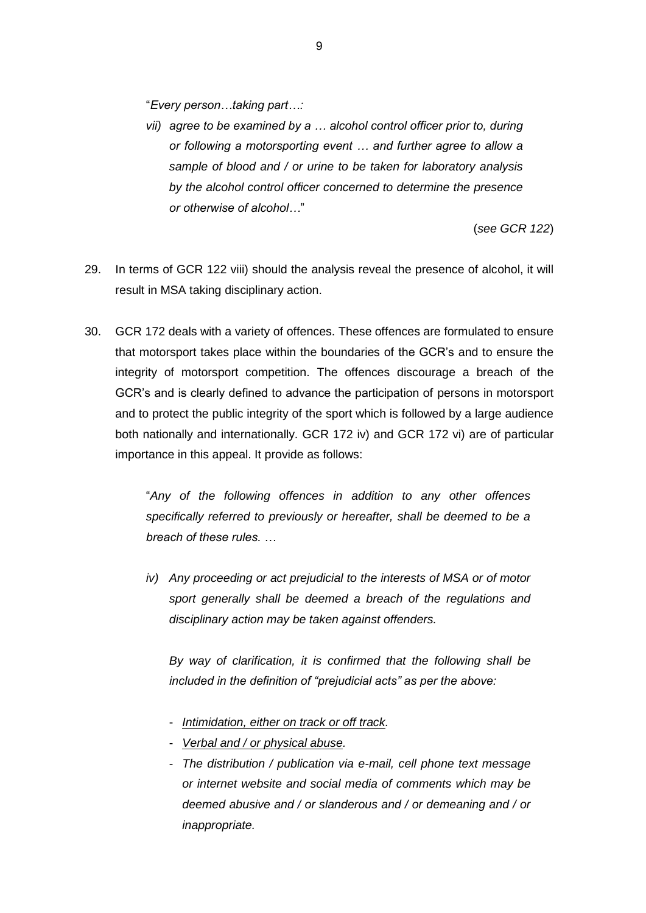"*Every person…taking part…:*

*vii) agree to be examined by a … alcohol control officer prior to, during or following a motorsporting event … and further agree to allow a sample of blood and / or urine to be taken for laboratory analysis by the alcohol control officer concerned to determine the presence or otherwise of alcohol…*"

(*see GCR 122*)

- 29. In terms of GCR 122 viii) should the analysis reveal the presence of alcohol, it will result in MSA taking disciplinary action.
- 30. GCR 172 deals with a variety of offences. These offences are formulated to ensure that motorsport takes place within the boundaries of the GCR's and to ensure the integrity of motorsport competition. The offences discourage a breach of the GCR's and is clearly defined to advance the participation of persons in motorsport and to protect the public integrity of the sport which is followed by a large audience both nationally and internationally. GCR 172 iv) and GCR 172 vi) are of particular importance in this appeal. It provide as follows:

"*Any of the following offences in addition to any other offences specifically referred to previously or hereafter, shall be deemed to be a breach of these rules. …*

*iv) Any proceeding or act prejudicial to the interests of MSA or of motor sport generally shall be deemed a breach of the regulations and disciplinary action may be taken against offenders.*

*By way of clarification, it is confirmed that the following shall be included in the definition of "prejudicial acts" as per the above:*

- *Intimidation, either on track or off track.*
- *Verbal and / or physical abuse.*
- *The distribution / publication via e-mail, cell phone text message or internet website and social media of comments which may be deemed abusive and / or slanderous and / or demeaning and / or inappropriate.*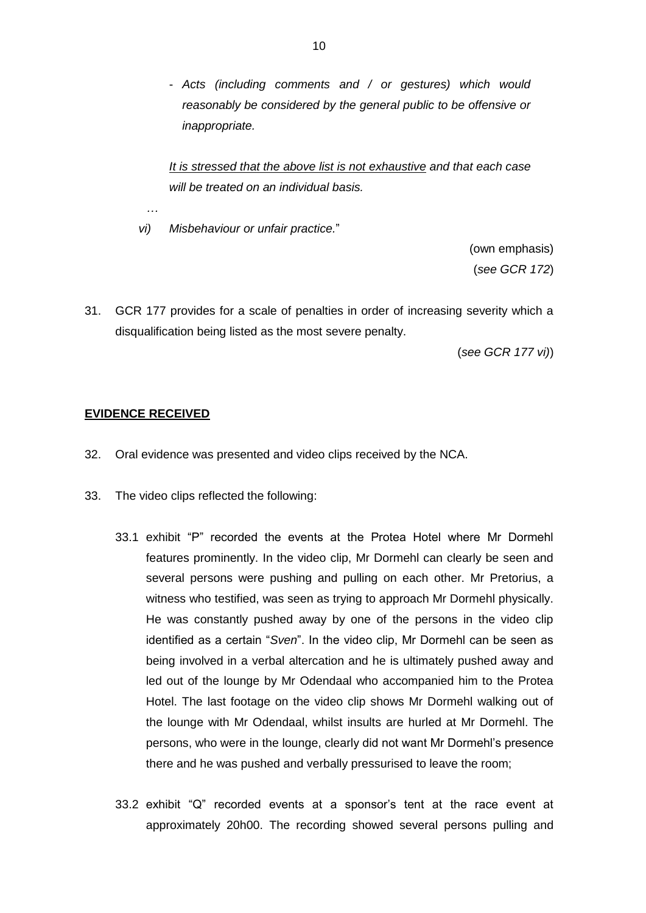- *Acts (including comments and / or gestures) which would reasonably be considered by the general public to be offensive or inappropriate.*

*It is stressed that the above list is not exhaustive and that each case will be treated on an individual basis.*

*vi) Misbehaviour or unfair practice.*"

(own emphasis) (*see GCR 172*)

31. GCR 177 provides for a scale of penalties in order of increasing severity which a disqualification being listed as the most severe penalty.

(*see GCR 177 vi)*)

### **EVIDENCE RECEIVED**

*…*

- 32. Oral evidence was presented and video clips received by the NCA.
- 33. The video clips reflected the following:
	- 33.1 exhibit "P" recorded the events at the Protea Hotel where Mr Dormehl features prominently. In the video clip, Mr Dormehl can clearly be seen and several persons were pushing and pulling on each other. Mr Pretorius, a witness who testified, was seen as trying to approach Mr Dormehl physically. He was constantly pushed away by one of the persons in the video clip identified as a certain "*Sven*". In the video clip, Mr Dormehl can be seen as being involved in a verbal altercation and he is ultimately pushed away and led out of the lounge by Mr Odendaal who accompanied him to the Protea Hotel. The last footage on the video clip shows Mr Dormehl walking out of the lounge with Mr Odendaal, whilst insults are hurled at Mr Dormehl. The persons, who were in the lounge, clearly did not want Mr Dormehl's presence there and he was pushed and verbally pressurised to leave the room;
	- 33.2 exhibit "Q" recorded events at a sponsor's tent at the race event at approximately 20h00. The recording showed several persons pulling and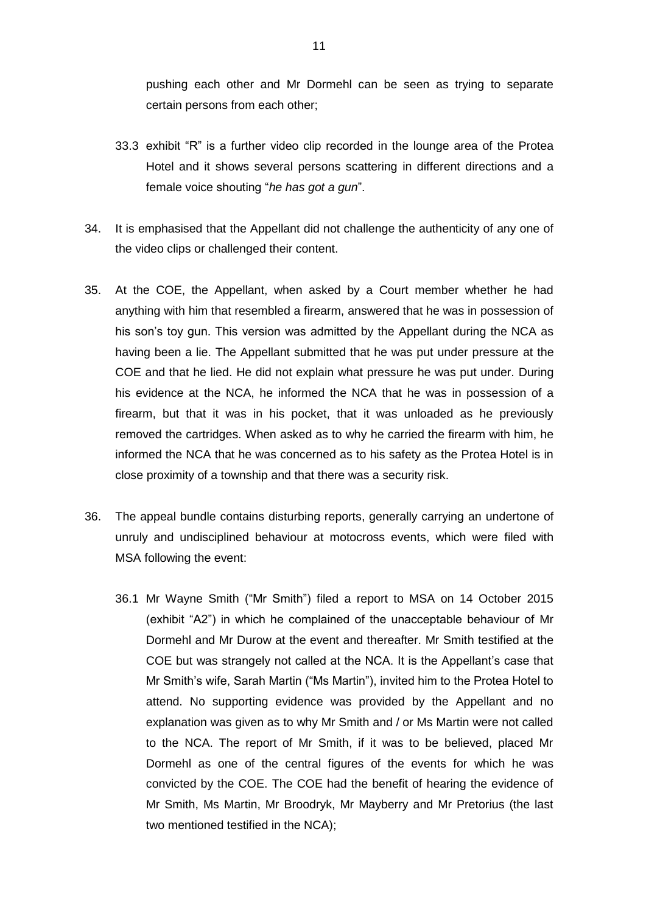pushing each other and Mr Dormehl can be seen as trying to separate certain persons from each other;

- 33.3 exhibit "R" is a further video clip recorded in the lounge area of the Protea Hotel and it shows several persons scattering in different directions and a female voice shouting "*he has got a gun*".
- 34. It is emphasised that the Appellant did not challenge the authenticity of any one of the video clips or challenged their content.
- 35. At the COE, the Appellant, when asked by a Court member whether he had anything with him that resembled a firearm, answered that he was in possession of his son's toy gun. This version was admitted by the Appellant during the NCA as having been a lie. The Appellant submitted that he was put under pressure at the COE and that he lied. He did not explain what pressure he was put under. During his evidence at the NCA, he informed the NCA that he was in possession of a firearm, but that it was in his pocket, that it was unloaded as he previously removed the cartridges. When asked as to why he carried the firearm with him, he informed the NCA that he was concerned as to his safety as the Protea Hotel is in close proximity of a township and that there was a security risk.
- 36. The appeal bundle contains disturbing reports, generally carrying an undertone of unruly and undisciplined behaviour at motocross events, which were filed with MSA following the event:
	- 36.1 Mr Wayne Smith ("Mr Smith") filed a report to MSA on 14 October 2015 (exhibit "A2") in which he complained of the unacceptable behaviour of Mr Dormehl and Mr Durow at the event and thereafter. Mr Smith testified at the COE but was strangely not called at the NCA. It is the Appellant's case that Mr Smith's wife, Sarah Martin ("Ms Martin"), invited him to the Protea Hotel to attend. No supporting evidence was provided by the Appellant and no explanation was given as to why Mr Smith and / or Ms Martin were not called to the NCA. The report of Mr Smith, if it was to be believed, placed Mr Dormehl as one of the central figures of the events for which he was convicted by the COE. The COE had the benefit of hearing the evidence of Mr Smith, Ms Martin, Mr Broodryk, Mr Mayberry and Mr Pretorius (the last two mentioned testified in the NCA);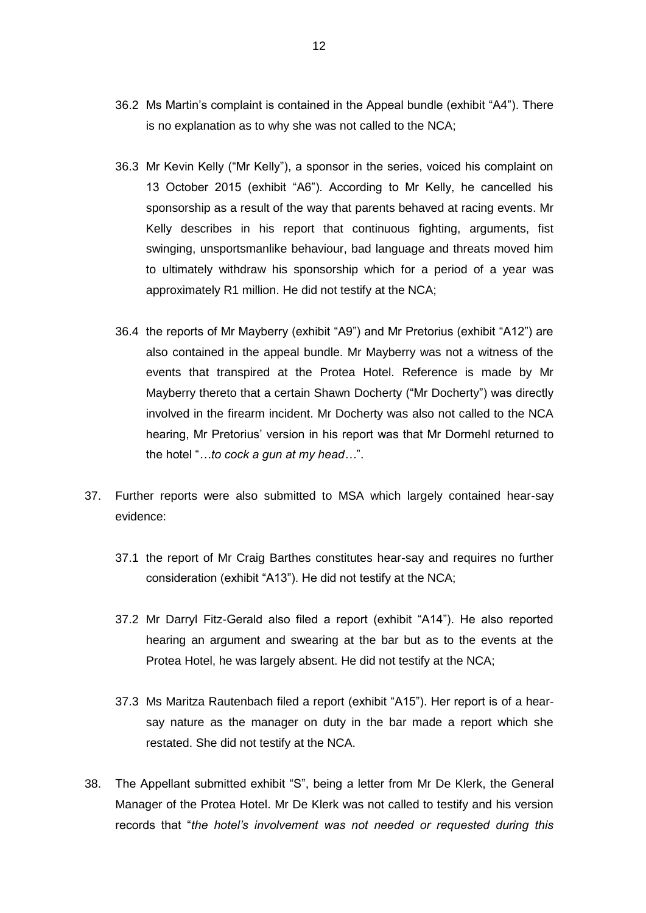- 36.2 Ms Martin's complaint is contained in the Appeal bundle (exhibit "A4"). There is no explanation as to why she was not called to the NCA;
- 36.3 Mr Kevin Kelly ("Mr Kelly"), a sponsor in the series, voiced his complaint on 13 October 2015 (exhibit "A6"). According to Mr Kelly, he cancelled his sponsorship as a result of the way that parents behaved at racing events. Mr Kelly describes in his report that continuous fighting, arguments, fist swinging, unsportsmanlike behaviour, bad language and threats moved him to ultimately withdraw his sponsorship which for a period of a year was approximately R1 million. He did not testify at the NCA;
- 36.4 the reports of Mr Mayberry (exhibit "A9") and Mr Pretorius (exhibit "A12") are also contained in the appeal bundle. Mr Mayberry was not a witness of the events that transpired at the Protea Hotel. Reference is made by Mr Mayberry thereto that a certain Shawn Docherty ("Mr Docherty") was directly involved in the firearm incident. Mr Docherty was also not called to the NCA hearing, Mr Pretorius' version in his report was that Mr Dormehl returned to the hotel "*…to cock a gun at my head…*".
- 37. Further reports were also submitted to MSA which largely contained hear-say evidence:
	- 37.1 the report of Mr Craig Barthes constitutes hear-say and requires no further consideration (exhibit "A13"). He did not testify at the NCA;
	- 37.2 Mr Darryl Fitz-Gerald also filed a report (exhibit "A14"). He also reported hearing an argument and swearing at the bar but as to the events at the Protea Hotel, he was largely absent. He did not testify at the NCA;
	- 37.3 Ms Maritza Rautenbach filed a report (exhibit "A15"). Her report is of a hearsay nature as the manager on duty in the bar made a report which she restated. She did not testify at the NCA.
- 38. The Appellant submitted exhibit "S", being a letter from Mr De Klerk, the General Manager of the Protea Hotel. Mr De Klerk was not called to testify and his version records that "*the hotel's involvement was not needed or requested during this*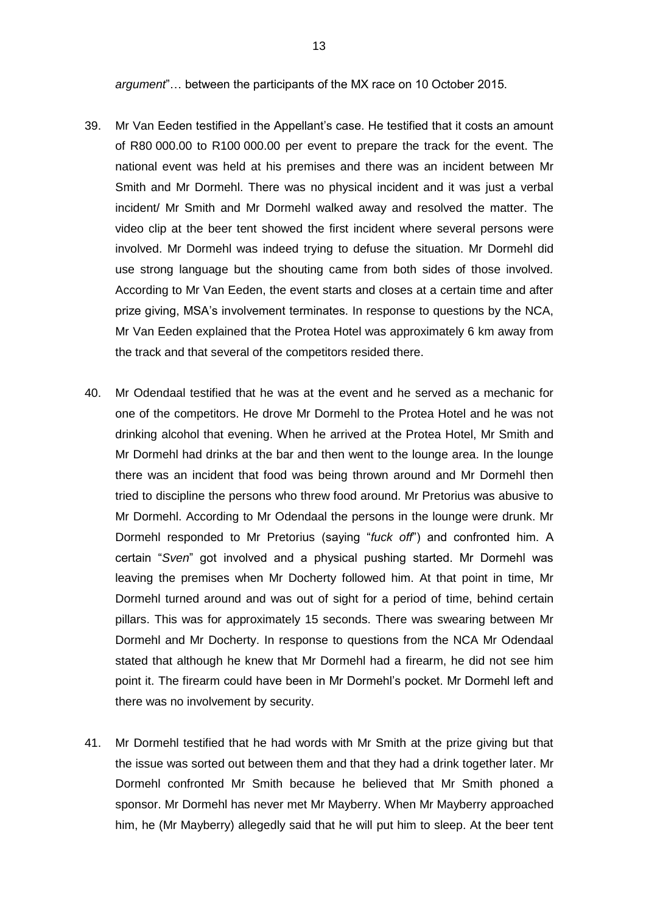*argument*"… between the participants of the MX race on 10 October 2015.

- 39. Mr Van Eeden testified in the Appellant's case. He testified that it costs an amount of R80 000.00 to R100 000.00 per event to prepare the track for the event. The national event was held at his premises and there was an incident between Mr Smith and Mr Dormehl. There was no physical incident and it was just a verbal incident/ Mr Smith and Mr Dormehl walked away and resolved the matter. The video clip at the beer tent showed the first incident where several persons were involved. Mr Dormehl was indeed trying to defuse the situation. Mr Dormehl did use strong language but the shouting came from both sides of those involved. According to Mr Van Eeden, the event starts and closes at a certain time and after prize giving, MSA's involvement terminates. In response to questions by the NCA, Mr Van Eeden explained that the Protea Hotel was approximately 6 km away from the track and that several of the competitors resided there.
- 40. Mr Odendaal testified that he was at the event and he served as a mechanic for one of the competitors. He drove Mr Dormehl to the Protea Hotel and he was not drinking alcohol that evening. When he arrived at the Protea Hotel, Mr Smith and Mr Dormehl had drinks at the bar and then went to the lounge area. In the lounge there was an incident that food was being thrown around and Mr Dormehl then tried to discipline the persons who threw food around. Mr Pretorius was abusive to Mr Dormehl. According to Mr Odendaal the persons in the lounge were drunk. Mr Dormehl responded to Mr Pretorius (saying "*fuck off*") and confronted him. A certain "*Sven*" got involved and a physical pushing started. Mr Dormehl was leaving the premises when Mr Docherty followed him. At that point in time, Mr Dormehl turned around and was out of sight for a period of time, behind certain pillars. This was for approximately 15 seconds. There was swearing between Mr Dormehl and Mr Docherty. In response to questions from the NCA Mr Odendaal stated that although he knew that Mr Dormehl had a firearm, he did not see him point it. The firearm could have been in Mr Dormehl's pocket. Mr Dormehl left and there was no involvement by security.
- 41. Mr Dormehl testified that he had words with Mr Smith at the prize giving but that the issue was sorted out between them and that they had a drink together later. Mr Dormehl confronted Mr Smith because he believed that Mr Smith phoned a sponsor. Mr Dormehl has never met Mr Mayberry. When Mr Mayberry approached him, he (Mr Mayberry) allegedly said that he will put him to sleep. At the beer tent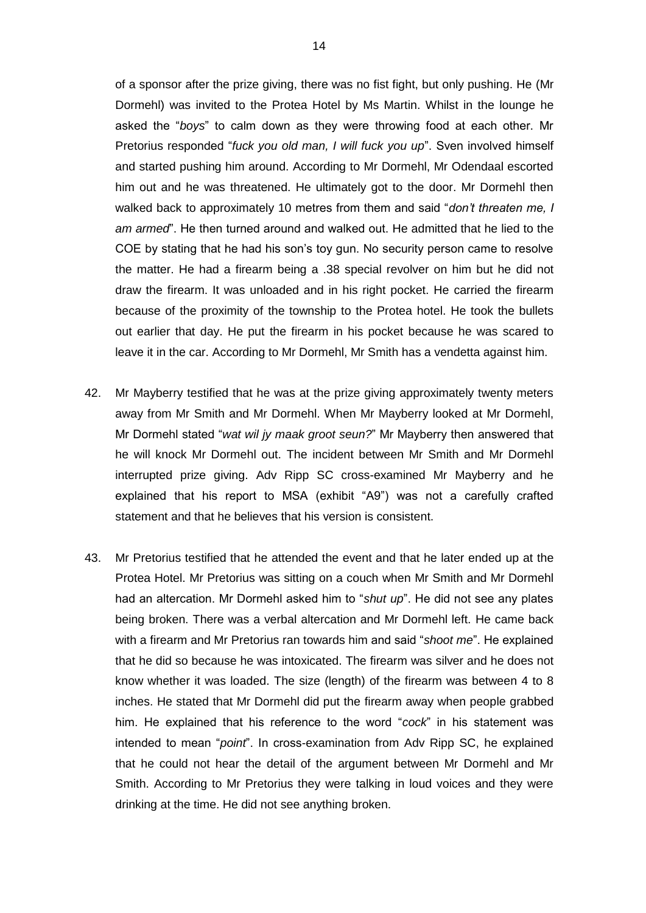of a sponsor after the prize giving, there was no fist fight, but only pushing. He (Mr Dormehl) was invited to the Protea Hotel by Ms Martin. Whilst in the lounge he asked the "*boys*" to calm down as they were throwing food at each other. Mr Pretorius responded "*fuck you old man, I will fuck you up*". Sven involved himself and started pushing him around. According to Mr Dormehl, Mr Odendaal escorted him out and he was threatened. He ultimately got to the door. Mr Dormehl then walked back to approximately 10 metres from them and said "*don't threaten me, I am armed*". He then turned around and walked out. He admitted that he lied to the COE by stating that he had his son's toy gun. No security person came to resolve the matter. He had a firearm being a .38 special revolver on him but he did not draw the firearm. It was unloaded and in his right pocket. He carried the firearm because of the proximity of the township to the Protea hotel. He took the bullets out earlier that day. He put the firearm in his pocket because he was scared to leave it in the car. According to Mr Dormehl, Mr Smith has a vendetta against him.

- 42. Mr Mayberry testified that he was at the prize giving approximately twenty meters away from Mr Smith and Mr Dormehl. When Mr Mayberry looked at Mr Dormehl, Mr Dormehl stated "*wat wil jy maak groot seun?*" Mr Mayberry then answered that he will knock Mr Dormehl out. The incident between Mr Smith and Mr Dormehl interrupted prize giving. Adv Ripp SC cross-examined Mr Mayberry and he explained that his report to MSA (exhibit "A9") was not a carefully crafted statement and that he believes that his version is consistent.
- 43. Mr Pretorius testified that he attended the event and that he later ended up at the Protea Hotel. Mr Pretorius was sitting on a couch when Mr Smith and Mr Dormehl had an altercation. Mr Dormehl asked him to "*shut up*". He did not see any plates being broken. There was a verbal altercation and Mr Dormehl left. He came back with a firearm and Mr Pretorius ran towards him and said "*shoot me*". He explained that he did so because he was intoxicated. The firearm was silver and he does not know whether it was loaded. The size (length) of the firearm was between 4 to 8 inches. He stated that Mr Dormehl did put the firearm away when people grabbed him. He explained that his reference to the word "*cock*" in his statement was intended to mean "*point*". In cross-examination from Adv Ripp SC, he explained that he could not hear the detail of the argument between Mr Dormehl and Mr Smith. According to Mr Pretorius they were talking in loud voices and they were drinking at the time. He did not see anything broken.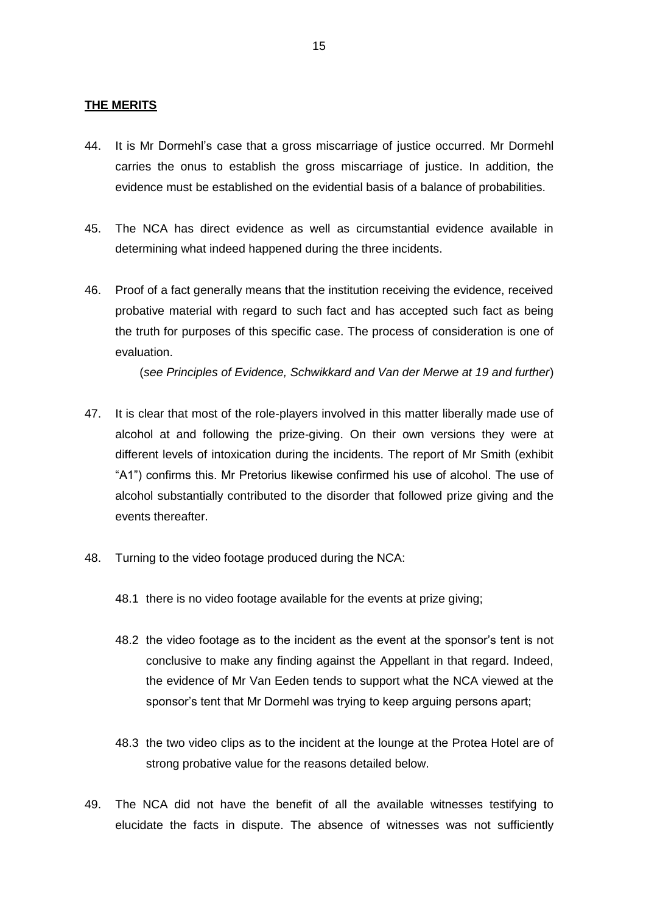### **THE MERITS**

- 44. It is Mr Dormehl's case that a gross miscarriage of justice occurred. Mr Dormehl carries the onus to establish the gross miscarriage of justice. In addition, the evidence must be established on the evidential basis of a balance of probabilities.
- 45. The NCA has direct evidence as well as circumstantial evidence available in determining what indeed happened during the three incidents.
- 46. Proof of a fact generally means that the institution receiving the evidence, received probative material with regard to such fact and has accepted such fact as being the truth for purposes of this specific case. The process of consideration is one of evaluation.

(*see Principles of Evidence, Schwikkard and Van der Merwe at 19 and further*)

- 47. It is clear that most of the role-players involved in this matter liberally made use of alcohol at and following the prize-giving. On their own versions they were at different levels of intoxication during the incidents. The report of Mr Smith (exhibit "A1") confirms this. Mr Pretorius likewise confirmed his use of alcohol. The use of alcohol substantially contributed to the disorder that followed prize giving and the events thereafter.
- 48. Turning to the video footage produced during the NCA:
	- 48.1 there is no video footage available for the events at prize giving;
	- 48.2 the video footage as to the incident as the event at the sponsor's tent is not conclusive to make any finding against the Appellant in that regard. Indeed, the evidence of Mr Van Eeden tends to support what the NCA viewed at the sponsor's tent that Mr Dormehl was trying to keep arguing persons apart;
	- 48.3 the two video clips as to the incident at the lounge at the Protea Hotel are of strong probative value for the reasons detailed below.
- 49. The NCA did not have the benefit of all the available witnesses testifying to elucidate the facts in dispute. The absence of witnesses was not sufficiently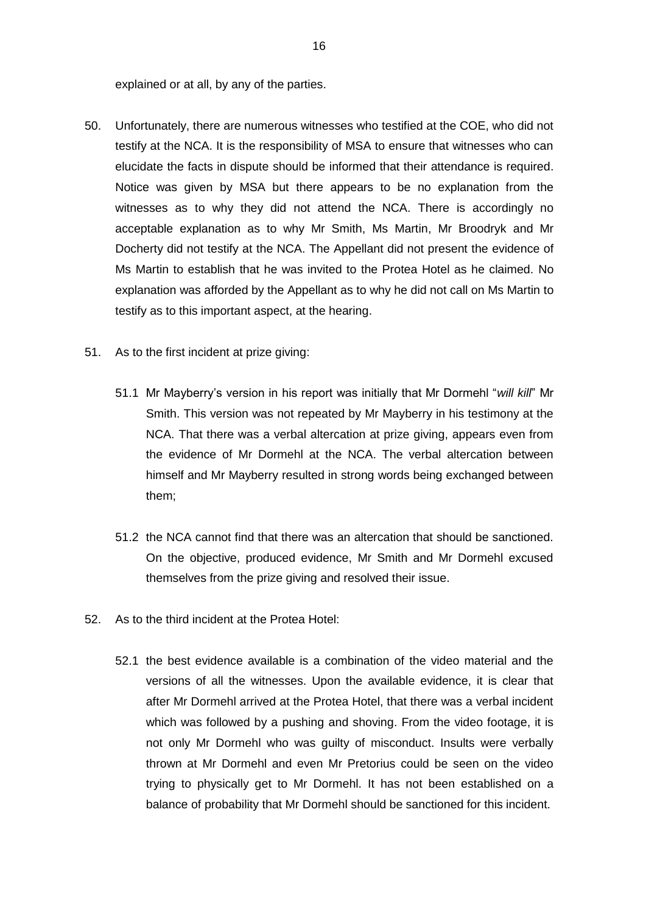explained or at all, by any of the parties.

- 50. Unfortunately, there are numerous witnesses who testified at the COE, who did not testify at the NCA. It is the responsibility of MSA to ensure that witnesses who can elucidate the facts in dispute should be informed that their attendance is required. Notice was given by MSA but there appears to be no explanation from the witnesses as to why they did not attend the NCA. There is accordingly no acceptable explanation as to why Mr Smith, Ms Martin, Mr Broodryk and Mr Docherty did not testify at the NCA. The Appellant did not present the evidence of Ms Martin to establish that he was invited to the Protea Hotel as he claimed. No explanation was afforded by the Appellant as to why he did not call on Ms Martin to testify as to this important aspect, at the hearing.
- 51. As to the first incident at prize giving:
	- 51.1 Mr Mayberry's version in his report was initially that Mr Dormehl "*will kill*" Mr Smith. This version was not repeated by Mr Mayberry in his testimony at the NCA. That there was a verbal altercation at prize giving, appears even from the evidence of Mr Dormehl at the NCA. The verbal altercation between himself and Mr Mayberry resulted in strong words being exchanged between them;
	- 51.2 the NCA cannot find that there was an altercation that should be sanctioned. On the objective, produced evidence, Mr Smith and Mr Dormehl excused themselves from the prize giving and resolved their issue.
- 52. As to the third incident at the Protea Hotel:
	- 52.1 the best evidence available is a combination of the video material and the versions of all the witnesses. Upon the available evidence, it is clear that after Mr Dormehl arrived at the Protea Hotel, that there was a verbal incident which was followed by a pushing and shoving. From the video footage, it is not only Mr Dormehl who was guilty of misconduct. Insults were verbally thrown at Mr Dormehl and even Mr Pretorius could be seen on the video trying to physically get to Mr Dormehl. It has not been established on a balance of probability that Mr Dormehl should be sanctioned for this incident.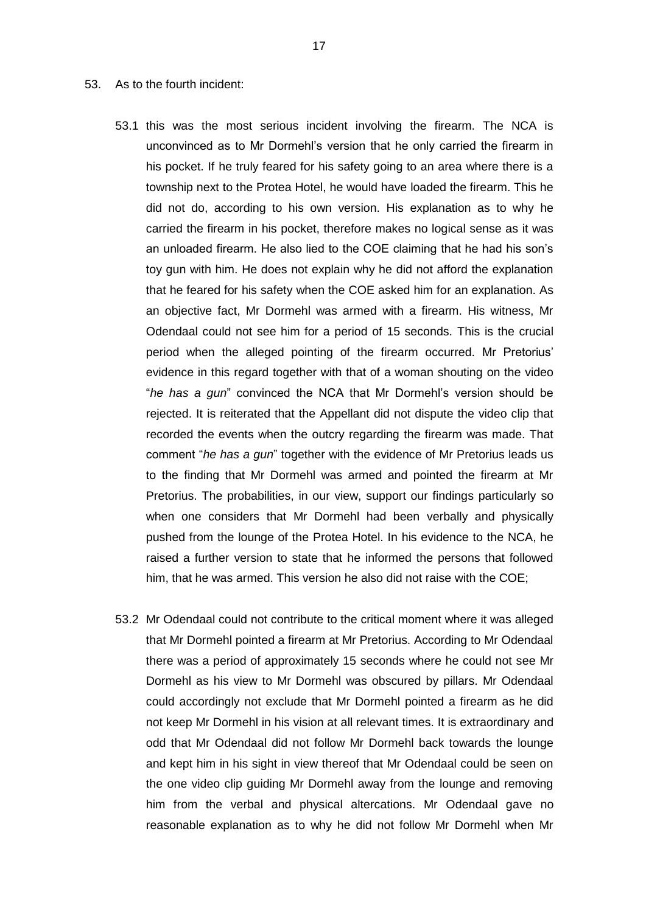#### 53. As to the fourth incident:

- 53.1 this was the most serious incident involving the firearm. The NCA is unconvinced as to Mr Dormehl's version that he only carried the firearm in his pocket. If he truly feared for his safety going to an area where there is a township next to the Protea Hotel, he would have loaded the firearm. This he did not do, according to his own version. His explanation as to why he carried the firearm in his pocket, therefore makes no logical sense as it was an unloaded firearm. He also lied to the COE claiming that he had his son's toy gun with him. He does not explain why he did not afford the explanation that he feared for his safety when the COE asked him for an explanation. As an objective fact, Mr Dormehl was armed with a firearm. His witness, Mr Odendaal could not see him for a period of 15 seconds. This is the crucial period when the alleged pointing of the firearm occurred. Mr Pretorius' evidence in this regard together with that of a woman shouting on the video "*he has a gun*" convinced the NCA that Mr Dormehl's version should be rejected. It is reiterated that the Appellant did not dispute the video clip that recorded the events when the outcry regarding the firearm was made. That comment "*he has a gun*" together with the evidence of Mr Pretorius leads us to the finding that Mr Dormehl was armed and pointed the firearm at Mr Pretorius. The probabilities, in our view, support our findings particularly so when one considers that Mr Dormehl had been verbally and physically pushed from the lounge of the Protea Hotel. In his evidence to the NCA, he raised a further version to state that he informed the persons that followed him, that he was armed. This version he also did not raise with the COE;
- 53.2 Mr Odendaal could not contribute to the critical moment where it was alleged that Mr Dormehl pointed a firearm at Mr Pretorius. According to Mr Odendaal there was a period of approximately 15 seconds where he could not see Mr Dormehl as his view to Mr Dormehl was obscured by pillars. Mr Odendaal could accordingly not exclude that Mr Dormehl pointed a firearm as he did not keep Mr Dormehl in his vision at all relevant times. It is extraordinary and odd that Mr Odendaal did not follow Mr Dormehl back towards the lounge and kept him in his sight in view thereof that Mr Odendaal could be seen on the one video clip guiding Mr Dormehl away from the lounge and removing him from the verbal and physical altercations. Mr Odendaal gave no reasonable explanation as to why he did not follow Mr Dormehl when Mr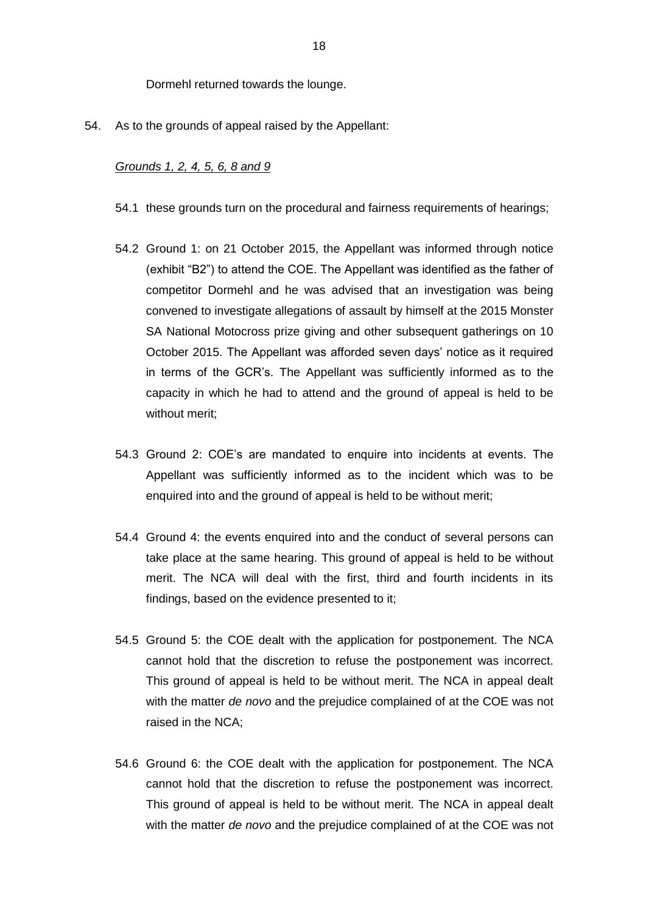Dormehl returned towards the lounge.

54. As to the grounds of appeal raised by the Appellant:

#### *Grounds 1, 2, 4, 5, 6, 8 and 9*

- 54.1 these grounds turn on the procedural and fairness requirements of hearings;
- 54.2 Ground 1: on 21 October 2015, the Appellant was informed through notice (exhibit "B2") to attend the COE. The Appellant was identified as the father of competitor Dormehl and he was advised that an investigation was being convened to investigate allegations of assault by himself at the 2015 Monster SA National Motocross prize giving and other subsequent gatherings on 10 October 2015. The Appellant was afforded seven days' notice as it required in terms of the GCR's. The Appellant was sufficiently informed as to the capacity in which he had to attend and the ground of appeal is held to be without merit;
- 54.3 Ground 2: COE's are mandated to enquire into incidents at events. The Appellant was sufficiently informed as to the incident which was to be enquired into and the ground of appeal is held to be without merit;
- 54.4 Ground 4: the events enquired into and the conduct of several persons can take place at the same hearing. This ground of appeal is held to be without merit. The NCA will deal with the first, third and fourth incidents in its findings, based on the evidence presented to it;
- 54.5 Ground 5: the COE dealt with the application for postponement. The NCA cannot hold that the discretion to refuse the postponement was incorrect. This ground of appeal is held to be without merit. The NCA in appeal dealt with the matter *de novo* and the prejudice complained of at the COE was not raised in the NCA;
- 54.6 Ground 6: the COE dealt with the application for postponement. The NCA cannot hold that the discretion to refuse the postponement was incorrect. This ground of appeal is held to be without merit. The NCA in appeal dealt with the matter *de novo* and the prejudice complained of at the COE was not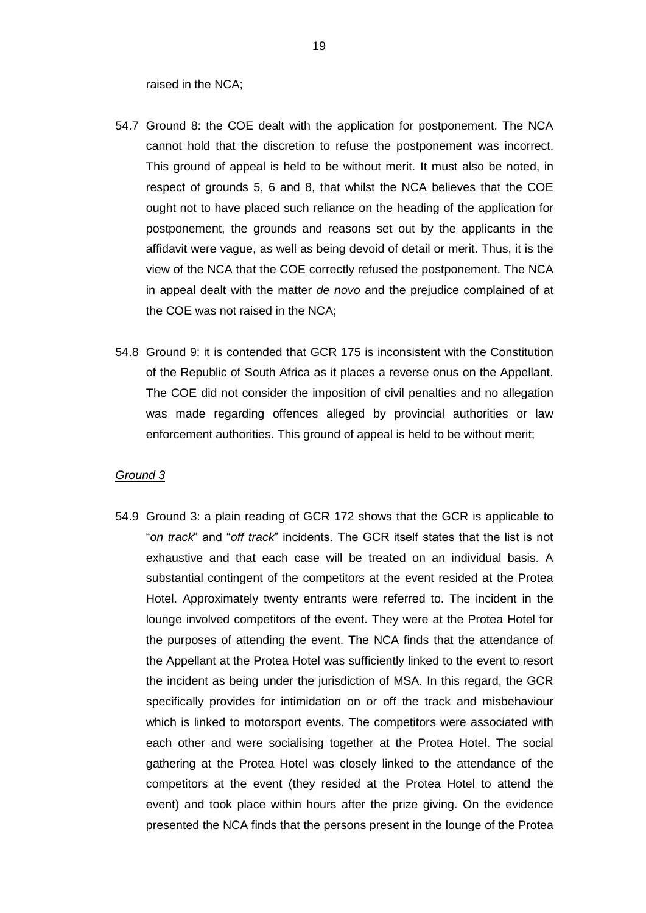raised in the NCA;

- 54.7 Ground 8: the COE dealt with the application for postponement. The NCA cannot hold that the discretion to refuse the postponement was incorrect. This ground of appeal is held to be without merit. It must also be noted, in respect of grounds 5, 6 and 8, that whilst the NCA believes that the COE ought not to have placed such reliance on the heading of the application for postponement, the grounds and reasons set out by the applicants in the affidavit were vague, as well as being devoid of detail or merit. Thus, it is the view of the NCA that the COE correctly refused the postponement. The NCA in appeal dealt with the matter *de novo* and the prejudice complained of at the COE was not raised in the NCA;
- 54.8 Ground 9: it is contended that GCR 175 is inconsistent with the Constitution of the Republic of South Africa as it places a reverse onus on the Appellant. The COE did not consider the imposition of civil penalties and no allegation was made regarding offences alleged by provincial authorities or law enforcement authorities. This ground of appeal is held to be without merit;

#### *Ground 3*

54.9 Ground 3: a plain reading of GCR 172 shows that the GCR is applicable to "*on track*" and "*off track*" incidents. The GCR itself states that the list is not exhaustive and that each case will be treated on an individual basis. A substantial contingent of the competitors at the event resided at the Protea Hotel. Approximately twenty entrants were referred to. The incident in the lounge involved competitors of the event. They were at the Protea Hotel for the purposes of attending the event. The NCA finds that the attendance of the Appellant at the Protea Hotel was sufficiently linked to the event to resort the incident as being under the jurisdiction of MSA. In this regard, the GCR specifically provides for intimidation on or off the track and misbehaviour which is linked to motorsport events. The competitors were associated with each other and were socialising together at the Protea Hotel. The social gathering at the Protea Hotel was closely linked to the attendance of the competitors at the event (they resided at the Protea Hotel to attend the event) and took place within hours after the prize giving. On the evidence presented the NCA finds that the persons present in the lounge of the Protea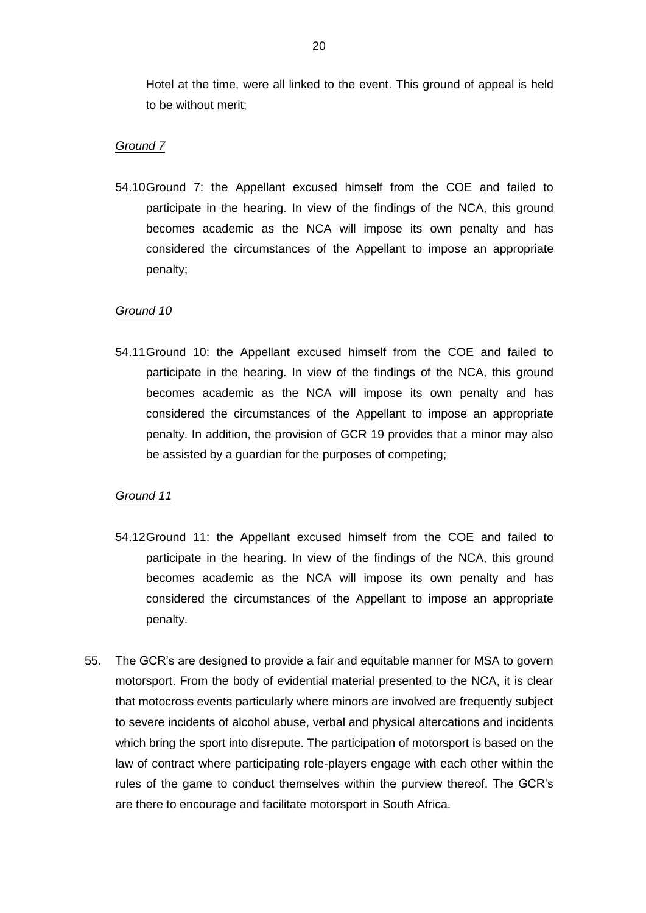Hotel at the time, were all linked to the event. This ground of appeal is held to be without merit;

#### *Ground 7*

54.10Ground 7: the Appellant excused himself from the COE and failed to participate in the hearing. In view of the findings of the NCA, this ground becomes academic as the NCA will impose its own penalty and has considered the circumstances of the Appellant to impose an appropriate penalty;

#### *Ground 10*

54.11Ground 10: the Appellant excused himself from the COE and failed to participate in the hearing. In view of the findings of the NCA, this ground becomes academic as the NCA will impose its own penalty and has considered the circumstances of the Appellant to impose an appropriate penalty. In addition, the provision of GCR 19 provides that a minor may also be assisted by a guardian for the purposes of competing;

#### *Ground 11*

- 54.12Ground 11: the Appellant excused himself from the COE and failed to participate in the hearing. In view of the findings of the NCA, this ground becomes academic as the NCA will impose its own penalty and has considered the circumstances of the Appellant to impose an appropriate penalty.
- 55. The GCR's are designed to provide a fair and equitable manner for MSA to govern motorsport. From the body of evidential material presented to the NCA, it is clear that motocross events particularly where minors are involved are frequently subject to severe incidents of alcohol abuse, verbal and physical altercations and incidents which bring the sport into disrepute. The participation of motorsport is based on the law of contract where participating role-players engage with each other within the rules of the game to conduct themselves within the purview thereof. The GCR's are there to encourage and facilitate motorsport in South Africa.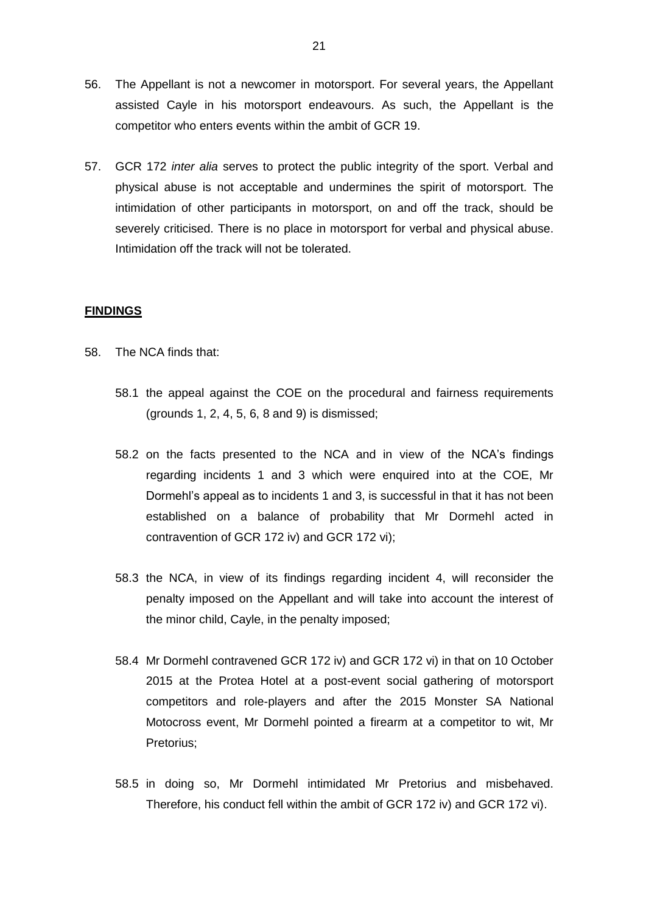- 56. The Appellant is not a newcomer in motorsport. For several years, the Appellant assisted Cayle in his motorsport endeavours. As such, the Appellant is the competitor who enters events within the ambit of GCR 19.
- 57. GCR 172 *inter alia* serves to protect the public integrity of the sport. Verbal and physical abuse is not acceptable and undermines the spirit of motorsport. The intimidation of other participants in motorsport, on and off the track, should be severely criticised. There is no place in motorsport for verbal and physical abuse. Intimidation off the track will not be tolerated.

#### **FINDINGS**

- 58. The NCA finds that:
	- 58.1 the appeal against the COE on the procedural and fairness requirements (grounds 1, 2, 4, 5, 6, 8 and 9) is dismissed;
	- 58.2 on the facts presented to the NCA and in view of the NCA's findings regarding incidents 1 and 3 which were enquired into at the COE, Mr Dormehl's appeal as to incidents 1 and 3, is successful in that it has not been established on a balance of probability that Mr Dormehl acted in contravention of GCR 172 iv) and GCR 172 vi);
	- 58.3 the NCA, in view of its findings regarding incident 4, will reconsider the penalty imposed on the Appellant and will take into account the interest of the minor child, Cayle, in the penalty imposed;
	- 58.4 Mr Dormehl contravened GCR 172 iv) and GCR 172 vi) in that on 10 October 2015 at the Protea Hotel at a post-event social gathering of motorsport competitors and role-players and after the 2015 Monster SA National Motocross event, Mr Dormehl pointed a firearm at a competitor to wit, Mr Pretorius;
	- 58.5 in doing so, Mr Dormehl intimidated Mr Pretorius and misbehaved. Therefore, his conduct fell within the ambit of GCR 172 iv) and GCR 172 vi).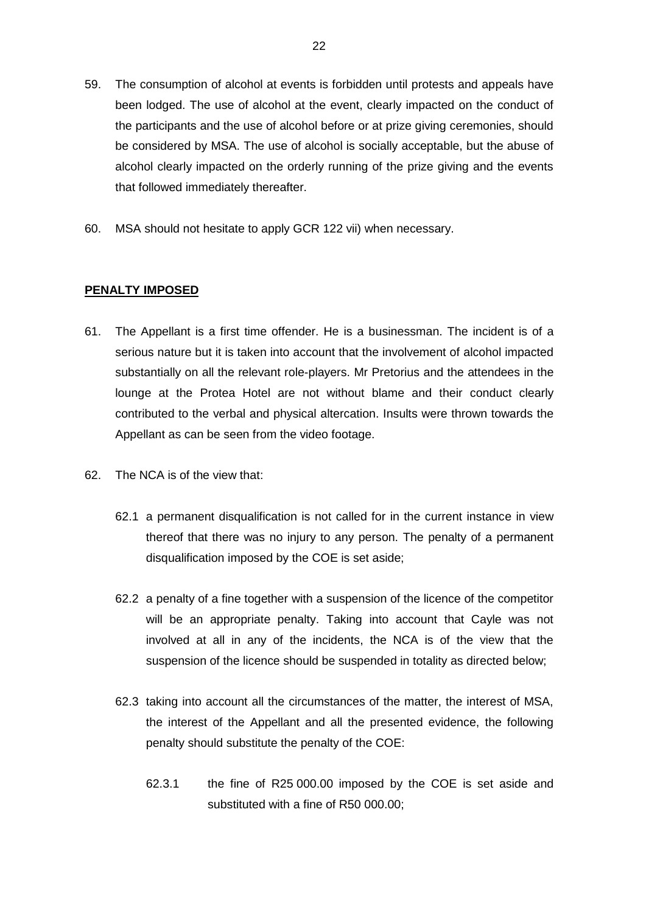- 59. The consumption of alcohol at events is forbidden until protests and appeals have been lodged. The use of alcohol at the event, clearly impacted on the conduct of the participants and the use of alcohol before or at prize giving ceremonies, should be considered by MSA. The use of alcohol is socially acceptable, but the abuse of alcohol clearly impacted on the orderly running of the prize giving and the events that followed immediately thereafter.
- 60. MSA should not hesitate to apply GCR 122 vii) when necessary.

## **PENALTY IMPOSED**

- 61. The Appellant is a first time offender. He is a businessman. The incident is of a serious nature but it is taken into account that the involvement of alcohol impacted substantially on all the relevant role-players. Mr Pretorius and the attendees in the lounge at the Protea Hotel are not without blame and their conduct clearly contributed to the verbal and physical altercation. Insults were thrown towards the Appellant as can be seen from the video footage.
- 62. The NCA is of the view that:
	- 62.1 a permanent disqualification is not called for in the current instance in view thereof that there was no injury to any person. The penalty of a permanent disqualification imposed by the COE is set aside;
	- 62.2 a penalty of a fine together with a suspension of the licence of the competitor will be an appropriate penalty. Taking into account that Cayle was not involved at all in any of the incidents, the NCA is of the view that the suspension of the licence should be suspended in totality as directed below;
	- 62.3 taking into account all the circumstances of the matter, the interest of MSA, the interest of the Appellant and all the presented evidence, the following penalty should substitute the penalty of the COE:
		- 62.3.1 the fine of R25 000.00 imposed by the COE is set aside and substituted with a fine of R50 000.00;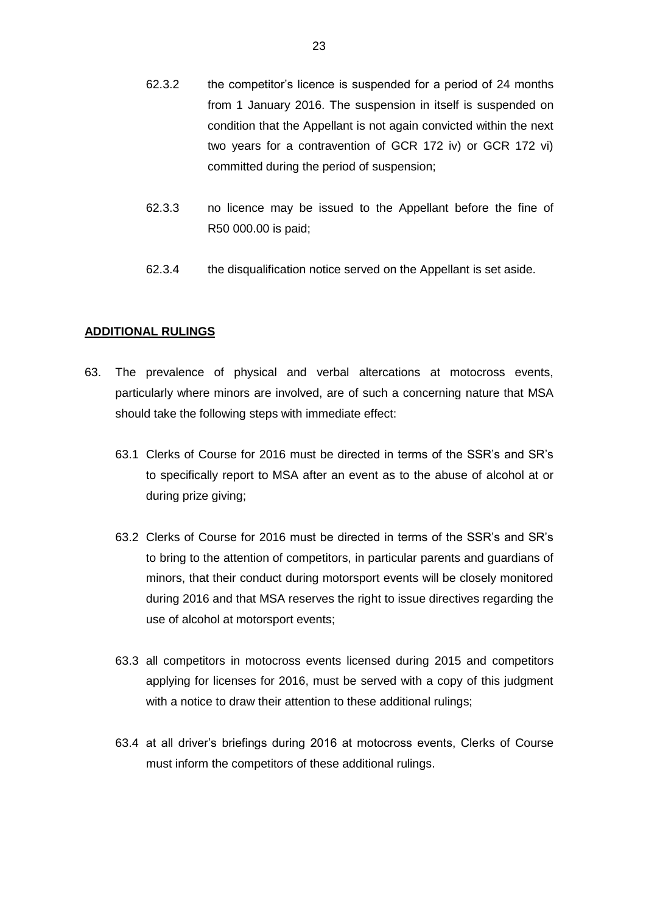- 62.3.2 the competitor's licence is suspended for a period of 24 months from 1 January 2016. The suspension in itself is suspended on condition that the Appellant is not again convicted within the next two years for a contravention of GCR 172 iv) or GCR 172 vi) committed during the period of suspension;
- 62.3.3 no licence may be issued to the Appellant before the fine of R50 000.00 is paid;
- 62.3.4 the disqualification notice served on the Appellant is set aside.

#### **ADDITIONAL RULINGS**

- 63. The prevalence of physical and verbal altercations at motocross events, particularly where minors are involved, are of such a concerning nature that MSA should take the following steps with immediate effect:
	- 63.1 Clerks of Course for 2016 must be directed in terms of the SSR's and SR's to specifically report to MSA after an event as to the abuse of alcohol at or during prize giving;
	- 63.2 Clerks of Course for 2016 must be directed in terms of the SSR's and SR's to bring to the attention of competitors, in particular parents and guardians of minors, that their conduct during motorsport events will be closely monitored during 2016 and that MSA reserves the right to issue directives regarding the use of alcohol at motorsport events;
	- 63.3 all competitors in motocross events licensed during 2015 and competitors applying for licenses for 2016, must be served with a copy of this judgment with a notice to draw their attention to these additional rulings;
	- 63.4 at all driver's briefings during 2016 at motocross events, Clerks of Course must inform the competitors of these additional rulings.